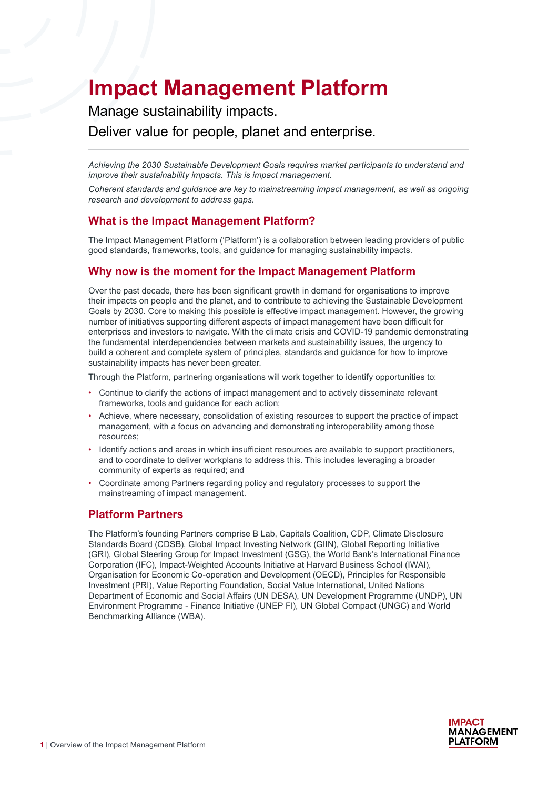# **Impact Management Platform**

Manage sustainability impacts.

Deliver value for people, planet and enterprise.

*Achieving the 2030 Sustainable Development Goals requires market participants to understand and improve their sustainability impacts. This is impact management.* 

*Coherent standards and guidance are key to mainstreaming impact management, as well as ongoing research and development to address gaps.*

### **What is the Impact Management Platform?**

The Impact Management Platform ('Platform') is a collaboration between leading providers of public good standards, frameworks, tools, and guidance for managing sustainability impacts.

## **Why now is the moment for the Impact Management Platform**

Over the past decade, there has been significant growth in demand for organisations to improve their impacts on people and the planet, and to contribute to achieving the Sustainable Development Goals by 2030. Core to making this possible is effective impact management. However, the growing number of initiatives supporting different aspects of impact management have been difficult for enterprises and investors to navigate. With the climate crisis and COVID-19 pandemic demonstrating the fundamental interdependencies between markets and sustainability issues, the urgency to build a coherent and complete system of principles, standards and guidance for how to improve sustainability impacts has never been greater.

Through the Platform, partnering organisations will work together to identify opportunities to:

- Continue to clarify the actions of impact management and to actively disseminate relevant frameworks, tools and guidance for each action;
- Achieve, where necessary, consolidation of existing resources to support the practice of impact management, with a focus on advancing and demonstrating interoperability among those resources;
- Identify actions and areas in which insufficient resources are available to support practitioners, and to coordinate to deliver workplans to address this. This includes leveraging a broader community of experts as required; and
- Coordinate among Partners regarding policy and regulatory processes to support the mainstreaming of impact management.

# **Platform Partners**

The Platform's founding Partners comprise B Lab, Capitals Coalition, CDP, Climate Disclosure Standards Board (CDSB), Global Impact Investing Network (GIIN), Global Reporting Initiative (GRI), Global Steering Group for Impact Investment (GSG), the World Bank's International Finance Corporation (IFC), Impact-Weighted Accounts Initiative at Harvard Business School (IWAI), Organisation for Economic Co-operation and Development (OECD), Principles for Responsible Investment (PRI), Value Reporting Foundation, Social Value International, United Nations Department of Economic and Social Affairs (UN DESA), UN Development Programme (UNDP), UN Environment Programme - Finance Initiative (UNEP FI), UN Global Compact (UNGC) and World Benchmarking Alliance (WBA).